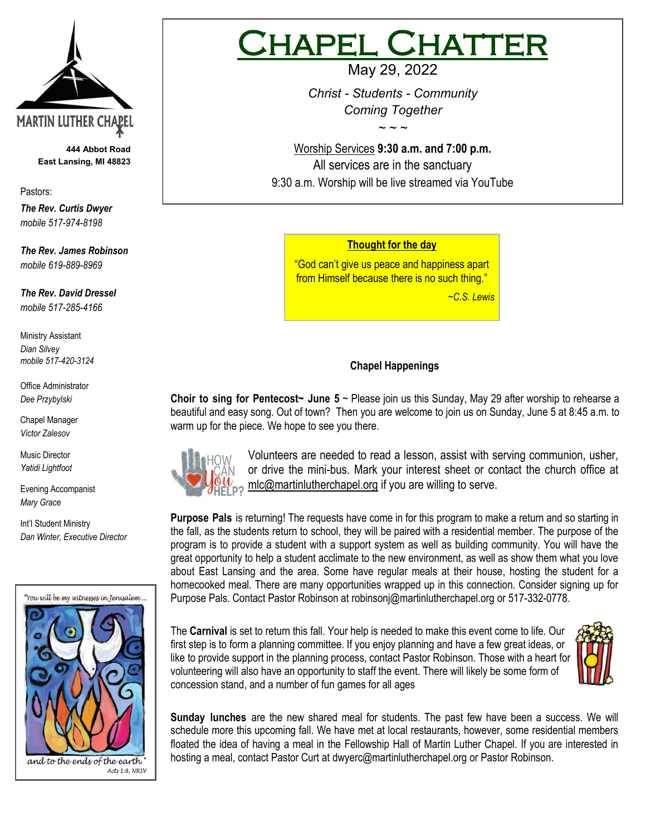

**444 Abbot Road East Lansing, MI 48823**

Pastors:

*The Rev. Curtis Dwyer mobile 517-974-8198*

*The Rev. James Robinson mobile 619-889-8969*

*The Rev. David Dressel mobile 517-285-4166*

Ministry Assistant *Dian Silvey mobile 517-420-3124*

Office Administrator *Dee Przybylski*

Chapel Manager *Victor Zalesov*

Music Director *Yatidi Lightfoot* 

Evening Accompanist *Mary Grace*

Int'l Student Ministry *Dan Winter, Executive Director*



# IAPEL CHATT

May 29, 2022

*Christ - Students - Community Coming Together*

*~ ~ ~*

Worship Services **9:30 a.m. and 7:00 p.m.**  All services are in the sanctuary 9:30 a.m. Worship will be live streamed via YouTube

## **Thought for the day**

"God can't give us peace and happiness apart from Himself because there is no such thing."

 *~C.S. Lewis*

# **Chapel Happenings**

**Choir to sing for Pentecost~ June 5** ~ Please join us this Sunday, May 29 after worship to rehearse a beautiful and easy song. Out of town? Then you are welcome to join us on Sunday, June 5 at 8:45 a.m. to warm up for the piece. We hope to see you there.



Volunteers are needed to read a lesson, assist with serving communion, usher, or drive the mini-bus. Mark your interest sheet or contact the church office at mlc@martinlutherchapel.org if you are willing to serve.

**Purpose Pals** is returning! The requests have come in for this program to make a return and so starting in the fall, as the students return to school, they will be paired with a residential member. The purpose of the program is to provide a student with a support system as well as building community. You will have the great opportunity to help a student acclimate to the new environment, as well as show them what you love about East Lansing and the area. Some have regular meals at their house, hosting the student for a homecooked meal. There are many opportunities wrapped up in this connection. Consider signing up for Purpose Pals. Contact Pastor Robinson at [robinsonj@martinlutherchapel.org](mailto:robinsonj@martinlutherchapel.org) or 517-332-0778.

The **Carnival** is set to return this fall. Your help is needed to make this event come to life. Our first step is to form a planning committee. If you enjoy planning and have a few great ideas, or like to provide support in the planning process, contact Pastor Robinson. Those with a heart for volunteering will also have an opportunity to staff the event. There will likely be some form of concession stand, and a number of fun games for all ages



**Sunday lunches** are the new shared meal for students. The past few have been a success. We will schedule more this upcoming fall. We have met at local restaurants, however, some residential members floated the idea of having a meal in the Fellowship Hall of Martin Luther Chapel. If you are interested in hosting a meal, contact Pastor Curt at [dwyerc@martinlutherchapel.org](mailto:dwyerc@martinlutherchapel.org) or Pastor Robinson.